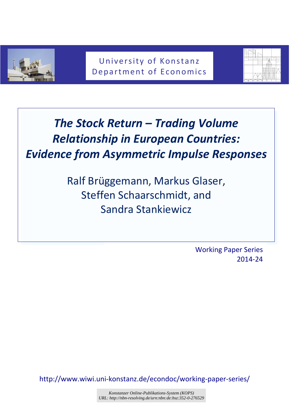

University of Konstanz Department of Economics



# *The Stock Return – Trading Volume Relationship in European Countries: Evidence from Asymmetric Impulse Responses*

Ralf Brüggemann, Markus Glaser, Steffen Schaarschmidt, and Sandra Stankiewicz

> Working Paper Series 2014-24

http://www.wiwi.uni-konstanz.de/econdoc/working-paper-series/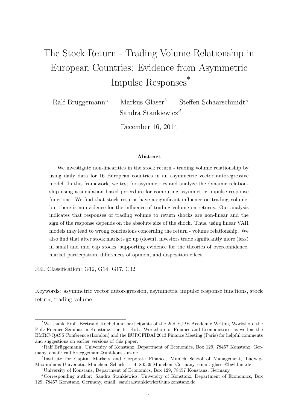## The Stock Return - Trading Volume Relationship in European Countries: Evidence from Asymmetric Impulse Responses<sup>\*</sup>

Ralf Brüggemann<sup>a</sup> Markus Glaser<sup>b</sup> Steffen Schaarschmidt<sup>c</sup> Sandra Stankiewicz<sup>d</sup>

December 16, 2014

#### Abstract

We investigate non-linearities in the stock return - trading volume relationship by using daily data for 16 European countries in an asymmetric vector autoregressive model. In this framework, we test for asymmetries and analyze the dynamic relationship using a simulation based procedure for computing asymmetric impulse response functions. We find that stock returns have a significant influence on trading volume, but there is no evidence for the influence of trading volume on returns. Our analysis indicates that responses of trading volume to return shocks are non-linear and the sign of the response depends on the absolute size of the shock. Thus, using linear VAR models may lead to wrong conclusions concerning the return - volume relationship. We also find that after stock markets go up (down), investors trade significantly more (less) in small and mid cap stocks, supporting evidence for the theories of overconfidence, market participation, differences of opinion, and disposition effect.

JEL Classification: G12, G14, G17, C32

Keywords: asymmetric vector autoregression, asymmetric impulse response functions, stock return, trading volume

<sup>\*</sup>We thank Prof. Bertrand Koebel and participants of the 2nd EJPE Academic Writing Workshop, the PhD Finance Seminar in Konstanz, the 1st KoLa Workshop on Finance and Econometrics, as well as the BMRC-QASS Conference (London) and the EUROFIDAI 2013 Finance Meeting (Paris) for helpful comments and suggestions on earlier versions of this paper.

<sup>&</sup>lt;sup>a</sup>Ralf Brüggemann: University of Konstanz, Department of Economics, Box 129, 78457 Konstanz, Germany, email: ralf.brueggemann@uni-konstanz.de

<sup>&</sup>lt;sup>b</sup>Institute for Capital Markets and Corporate Finance, Munich School of Management, Ludwig-Maximilians-Universität München, Schackstr. 4, 80539 München, Germany, email: glaser@bwl.lmu.de

 $c$ University of Konstanz, Department of Economics, Box 129, 78457 Konstanz, Germany

 ${}^d$ Corresponding author: Sandra Stankiewicz, University of Konstanz, Department of Economics, Box 129, 78457 Konstanz, Germany, email: sandra.stankiewicz@uni-konstanz.de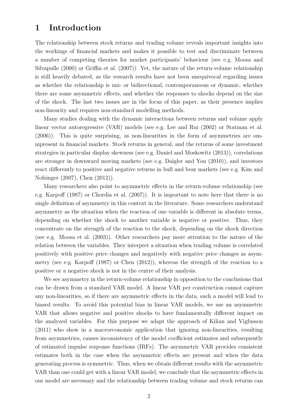## 1 Introduction

The relationship between stock returns and trading volume reveals important insights into the workings of financial markets and makes it possible to test and discriminate between a number of competing theories for market participants' behaviour (see e.g. Moosa and Silvapulle (2000) or Griffin et al. (2007)). Yet, the nature of the return-volume relationship is still heavily debated, as the research results have not been unequivocal regarding issues as whether the relationship is uni- or bidirectional, contemporaneous or dynamic, whether there are some asymmetric effects, and whether the responses to shocks depend on the size of the shock. The last two issues are in the focus of this paper, as their presence implies non-linearity and requires non-standard modelling methods.

Many studies dealing with the dynamic interactions between returns and volume apply linear vector autoregressive (VAR) models (see e.g. Lee and Rui (2002) or Statman et al. (2006)). This is quite surprising, as non-linearities in the form of asymmetries are omnipresent in financial markets. Stock returns in general, and the returns of some investment strategies in particular display skewness (see e.g. Daniel and Moskowitz (2013)), correlations are stronger in downward moving markets (see e.g. Daigler and You (2010)), and investors react differently to positive and negative returns in bull and bear markets (see e.g. Kim and Nofsinger (2007), Chen (2012)).

Many researchers also point to asymmetric effects in the return-volume relationship (see e.g. Karpoff (1987) or Chordia et al. (2007)). It is important to note here that there is no single definition of asymmetry in this context in the literature. Some researchers understand asymmetry as the situation when the reaction of one variable is different in absolute terms, depending on whether the shock to another variable is negative or positive. Thus, they concentrate on the strength of the reaction to the shock, depending on the shock direction (see e.g. Moosa et al. (2003)). Other researchers pay more attention to the nature of the relation between the variables. They interpret a situation when trading volume is correlated positively with positive price changes and negatively with negative price changes as asymmetry (see e.g. Karpoff (1987) or Chen (2012)), whereas the strength of the reaction to a positive or a negative shock is not in the centre of their analysis.

We see asymmetry in the return-volume relationship in opposition to the conclusions that can be drawn from a standard VAR model. A linear VAR per construction cannot capture any non-linearities, so if there are asymmetric effects in the data, such a model will lead to biased results. To avoid this potential bias in linear VAR models, we use an asymmetric VAR that allows negative and positive shocks to have fundamentally different impact on the analyzed variables. For this purpose we adapt the approach of Kilian and Vigfusson (2011) who show in a macroeconomic application that ignoring non-linearities, resulting from asymmetries, causes inconsistency of the model coefficient estimates and subsequently of estimated impulse response functions (IRFs). The asymmetric VAR provides consistent estimates both in the case when the asymmetric effects are present and when the data generating process is symmetric. Thus, when we obtain different results with the asymmetric VAR than one could get with a linear VAR model, we conclude that the asymmetric effects in our model are necessary and the relationship between trading volume and stock returns can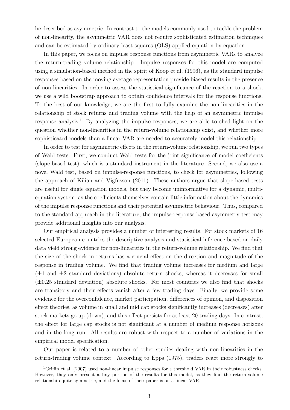be described as asymmetric. In contrast to the models commonly used to tackle the problem of non-linearity, the asymmetric VAR does not require sophisticated estimation techniques and can be estimated by ordinary least squares (OLS) applied equation by equation.

In this paper, we focus on impulse response functions from asymmetric VARs to analyze the return-trading volume relationship. Impulse responses for this model are computed using a simulation-based method in the spirit of Koop et al. (1996), as the standard impulse responses based on the moving average representation provide biased results in the presence of non-linearities. In order to assess the statistical significance of the reaction to a shock, we use a wild bootstrap approach to obtain confidence intervals for the response functions. To the best of our knowledge, we are the first to fully examine the non-linearities in the relationship of stock returns and trading volume with the help of an asymmetric impulse response analysis.<sup>1</sup> By analyzing the impulse responses, we are able to shed light on the question whether non-linearities in the return-volume relationship exist, and whether more sophisticated models than a linear VAR are needed to accurately model this relationship.

In order to test for asymmetric effects in the return-volume relationship, we run two types of Wald tests. First, we conduct Wald tests for the joint significance of model coefficients (slope-based test), which is a standard instrument in the literature. Second, we also use a novel Wald test, based on impulse-response functions, to check for asymmetries, following the approach of Kilian and Vigfusson (2011). These authors argue that slope-based tests are useful for single equation models, but they become uninformative for a dynamic, multiequation system, as the coefficients themselves contain little information about the dynamics of the impulse response functions and their potential asymmetric behaviour. Thus, compared to the standard approach in the literature, the impulse-response based asymmetry test may provide additional insights into our analysis.

Our empirical analysis provides a number of interesting results. For stock markets of 16 selected European countries the descriptive analysis and statistical inference based on daily data yield strong evidence for non-linearities in the return-volume relationship. We find that the size of the shock in returns has a crucial effect on the direction and magnitude of the response in trading volume. We find that trading volume increases for medium and large  $(\pm 1$  and  $\pm 2$  standard deviations) absolute return shocks, whereas it decreases for small  $(\pm 0.25$  standard deviation) absolute shocks. For most countries we also find that shocks are transitory and their effects vanish after a few trading days. Finally, we provide some evidence for the overconfidence, market participation, differences of opinion, and disposition effect theories, as volume in small and mid cap stocks significantly increases (decreases) after stock markets go up (down), and this effect persists for at least 20 trading days. In contrast, the effect for large cap stocks is not significant at a number of medium response horizons and in the long run. All results are robust with respect to a number of variations in the empirical model specification.

Our paper is related to a number of other studies dealing with non-linearities in the return-trading volume context. According to Epps (1975), traders react more strongly to

<sup>&</sup>lt;sup>1</sup>Griffin et al. (2007) used non-linear impulse responses for a threshold VAR in their robustness checks. However, they only present a tiny portion of the results for this model, as they find the return-volume relationship quite symmetric, and the focus of their paper is on a linear VAR.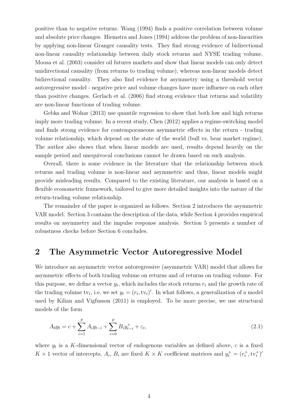positive than to negative returns. Wang (1994) finds a positive correlation between volume and absolute price changes. Hiemstra and Jones (1994) address the problem of non-linearities by applying non-linear Granger causality tests. They find strong evidence of bidirectional non-linear causality relationship between daily stock returns and NYSE trading volume. Moosa et al. (2003) consider oil futures markets and show that linear models can only detect unidirectional causality (from returns to trading volume), whereas non-linear models detect bidirectional causality. They also find evidence for asymmetry using a threshold vector autoregressive model - negative price and volume changes have more influence on each other than positive changes. Gerlach et al. (2006) find strong evidence that returns and volatility are non-linear functions of trading volume.

Gebka and Wohar (2013) use quantile regression to show that both low and high returns imply more trading volume. In a recent study, Chen (2012) applies a regime-switching model and finds strong evidence for contemporaneous asymmetric effects in the return - trading volume relationship, which depend on the state of the world (bull vs. bear market regime). The author also shows that when linear models are used, results depend heavily on the sample period and unequivocal conclusions cannot be drawn based on such analysis.

Overall, there is some evidence in the literature that the relationship between stock returns and trading volume is non-linear and asymmetric and thus, linear models might provide misleading results. Compared to the existing literature, our analysis is based on a flexible econometric framework, tailored to give more detailed insights into the nature of the return-trading volume relationship.

The remainder of the paper is organized as follows. Section 2 introduces the asymmetric VAR model. Section 3 contains the description of the data, while Section 4 provides empirical results on asymmetry and the impulse response analysis. Section 5 presents a number of robustness checks before Section 6 concludes.

## 2 The Asymmetric Vector Autoregressive Model

We introduce an asymmetric vector autoregressive (asymmetric VAR) model that allows for asymmetric effects of both trading volume on returns and of returns on trading volume. For this purpose, we define a vector  $y_t$ , which includes the stock returns  $r_t$  and the growth rate of the trading volume tv<sub>t</sub>, i.e. we set  $y_t = (r_t, \text{tv}_t)'$ . In what follows, a generalization of a model used by Kilian and Vigfusson (2011) is employed. To be more precise, we use structural models of the form

$$
A_0 y_t = c + \sum_{i=1}^p A_i y_{t-i} + \sum_{i=0}^p B_i y_{t-i}^+ + \varepsilon_t,
$$
\n(2.1)

where  $y_t$  is a K-dimensional vector of endogenous variables as defined above, c is a fixed  $K \times 1$  vector of intercepts,  $A_i$ ,  $B_i$  are fixed  $K \times K$  coefficient matrices and  $y_t^+ = (r_t^+, \text{tv}_t^+)$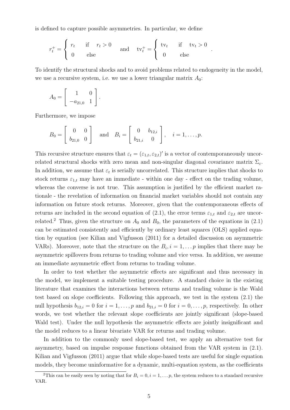is defined to capture possible asymmetries. In particular, we define

$$
r_t^+ = \begin{cases} r_t & \text{if } r_t > 0 \\ 0 & \text{else} \end{cases} \quad \text{and} \quad \text{tv}_t^+ = \begin{cases} \text{tv}_t & \text{if } \text{tv}_t > 0 \\ 0 & \text{else} \end{cases}
$$

To identify the structural shocks and to avoid problems related to endogeneity in the model, we use a recursive system, i.e. we use a lower triangular matrix  $A_0$ :

.

$$
A_0 = \left[ \begin{array}{rr} 1 & 0 \\ -a_{21,0} & 1 \end{array} \right].
$$

Furthermore, we impose

$$
B_0 = \begin{bmatrix} 0 & 0 \\ b_{21,0} & 0 \end{bmatrix}
$$
 and  $B_i = \begin{bmatrix} 0 & b_{12,i} \\ b_{21,i} & 0 \end{bmatrix}$ ,  $i = 1,..., p$ .

This recursive structure ensures that  $\varepsilon_t = (\varepsilon_{1,t}, \varepsilon_{2,t})'$  is a vector of contemporaneously uncorrelated structural shocks with zero mean and non-singular diagonal covariance matrix  $\Sigma_{\varepsilon}$ . In addition, we assume that  $\varepsilon_t$  is serially uncorrelated. This structure implies that shocks to stock returns  $\varepsilon_{1,t}$  may have an immediate - within one day - effect on the trading volume, whereas the converse is not true. This assumption is justified by the efficient market rationale - the revelation of information on financial market variables should not contain any information on future stock returns. Moreover, given that the contemporaneous effects of returns are included in the second equation of (2.1), the error terms  $\varepsilon_{1,t}$  and  $\varepsilon_{2,t}$  are uncorrelated.<sup>2</sup> Thus, given the structure on  $A_0$  and  $B_0$ , the parameters of the equations in (2.1) can be estimated consistently and efficiently by ordinary least squares (OLS) applied equation by equation (see Kilian and Vigfusson (2011) for a detailed discussion on asymmetric VARs). Moreover, note that the structure on the  $B_i$ ,  $i = 1, \ldots p$  implies that there may be asymmetric spillovers from returns to trading volume and vice versa. In addition, we assume an immediate asymmetric effect from returns to trading volume.

In order to test whether the asymmetric effects are significant and thus necessary in the model, we implement a suitable testing procedure. A standard choice in the existing literature that examines the interactions between returns and trading volume is the Wald test based on slope coefficients. Following this approach, we test in the system (2.1) the null hypothesis  $b_{12,i} = 0$  for  $i = 1, \ldots, p$  and  $b_{21,i} = 0$  for  $i = 0, \ldots, p$ , respectively. In other words, we test whether the relevant slope coefficients are jointly significant (slope-based Wald test). Under the null hypothesis the asymmetric effects are jointly insignificant and the model reduces to a linear bivariate VAR for returns and trading volume.

In addition to the commonly used slope-based test, we apply an alternative test for asymmetry, based on impulse response functions obtained from the VAR system in (2.1). Kilian and Vigfusson (2011) argue that while slope-based tests are useful for single equation models, they become uninformative for a dynamic, multi-equation system, as the coefficients

<sup>&</sup>lt;sup>2</sup>This can be easily seen by noting that for  $B_i = 0, i = 1, \ldots, p$ , the system reduces to a standard recursive VAR.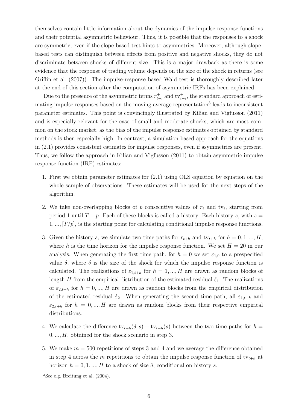themselves contain little information about the dynamics of the impulse response functions and their potential asymmetric behaviour. Thus, it is possible that the responses to a shock are symmetric, even if the slope-based test hints to asymmetries. Moreover, although slopebased tests can distinguish between effects from positive and negative shocks, they do not discriminate between shocks of different size. This is a major drawback as there is some evidence that the response of trading volume depends on the size of the shock in returns (see Griffin et al. (2007)). The impulse-response based Wald test is thoroughly described later at the end of this section after the computation of asymmetric IRFs has been explained.

Due to the presence of the asymmetric terms  $r_{t-i}^+$  and  $\mathrm{tv}_{t-i}^+$ , the standard approach of estimating impulse responses based on the moving average representation<sup>3</sup> leads to inconsistent parameter estimates. This point is convincingly illustrated by Kilian and Vigfusson (2011) and is especially relevant for the case of small and moderate shocks, which are most common on the stock market, as the bias of the impulse response estimates obtained by standard methods is then especially high. In contrast, a simulation based approach for the equations in (2.1) provides consistent estimates for impulse responses, even if asymmetries are present. Thus, we follow the approach in Kilian and Vigfusson (2011) to obtain asymmetric impulse response function (IRF) estimates:

- 1. First we obtain parameter estimates for (2.1) using OLS equation by equation on the whole sample of observations. These estimates will be used for the next steps of the algorithm.
- 2. We take non-overlapping blocks of  $p$  consecutive values of  $r_t$  and tv<sub>t</sub>, starting from period 1 until  $T - p$ . Each of these blocks is called a history. Each history s, with  $s =$  $1, ..., [T/p]$ , is the starting point for calculating conditional impulse response functions.
- 3. Given the history s, we simulate two time paths for  $r_{t+h}$  and  $tv_{t+h}$  for  $h = 0, 1, ..., H$ , where h is the time horizon for the impulse response function. We set  $H = 20$  in our analysis. When generating the first time path, for  $h = 0$  we set  $\varepsilon_{1,0}$  to a prespecified value  $\delta$ , where  $\delta$  is the size of the shock for which the impulse response function is calculated. The realizations of  $\varepsilon_{1,t+h}$  for  $h = 1, ..., H$  are drawn as random blocks of length H from the empirical distribution of the estimated residual  $\hat{\varepsilon}_1$ . The realizations of  $\varepsilon_{2,t+h}$  for  $h = 0, ..., H$  are drawn as random blocks from the empirical distribution of the estimated residual  $\hat{\varepsilon}_2$ . When generating the second time path, all  $\varepsilon_{1,t+h}$  and  $\varepsilon_{2,t+h}$  for  $h = 0, ..., H$  are drawn as random blocks from their respective empirical distributions.
- 4. We calculate the difference  $\mathrm{tv}_{t+h}(\delta, s) \mathrm{tv}_{t+h}(s)$  between the two time paths for  $h =$  $0, \ldots, H$ , obtained for the shock scenario in step 3.
- 5. We make  $m = 500$  repetitions of steps 3 and 4 and we average the difference obtained in step 4 across the m repetitions to obtain the impulse response function of  $\mathrm{tv}_{t+h}$  at horizon  $h = 0, 1, ..., H$  to a shock of size  $\delta$ , conditional on history s.

 ${}^{3}$ See e.g. Breitung et al. (2004).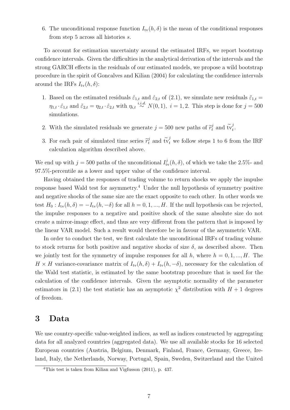6. The unconditional response function  $I_{\text{tv}}(h, \delta)$  is the mean of the conditional responses from step 5 across all histories s.

To account for estimation uncertainty around the estimated IRFs, we report bootstrap confidence intervals. Given the difficulties in the analytical derivation of the intervals and the strong GARCH effects in the residuals of our estimated models, we propose a wild bootstrap procedure in the spirit of Goncalves and Kilian (2004) for calculating the confidence intervals around the IRFs  $I_{\text{tv}}(h,\delta)$ :

- 1. Based on the estimated residuals  $\hat{\varepsilon}_{1,t}$  and  $\hat{\varepsilon}_{2,t}$  of (2.1), we simulate new residuals  $\tilde{\varepsilon}_{1,t}$  =  $\eta_{1,t} \cdot \hat{\varepsilon}_{1,t}$  and  $\tilde{\varepsilon}_{2,t} = \eta_{2,t} \cdot \hat{\varepsilon}_{2,t}$  with  $\eta_{i,t} \stackrel{i.i.d.}{\sim} N(0,1)$ ,  $i = 1, 2$ . This step is done for  $j = 500$ simulations.
- 2. With the simulated residuals we generate  $j = 500$  new paths of  $\widetilde{r}_t^j$  and  $\widetilde{w}_t^j$  $\frac{J}{t}$ .
- 3. For each pair of simulated time series  $\tilde{r}_t^j$  and  $\tilde{t}v_t^j$  we follow steps 1 to 6 from the IRF calculation algorithm described above.

We end up with  $j = 500$  paths of the unconditional  $I_{\text{tv}}^{j}(h, \delta)$ , of which we take the 2.5%- and 97.5%-percentile as a lower and upper value of the confidence interval.

Having obtained the responses of trading volume to return shocks we apply the impulse response based Wald test for asymmetry.<sup>4</sup> Under the null hypothesis of symmetry positive and negative shocks of the same size are the exact opposite to each other. In other words we test  $H_0: I_{\text{tv}}(h, \delta) = -I_{\text{tv}}(h, -\delta)$  for all  $h = 0, 1, ..., H$ . If the null hypothesis can be rejected, the impulse responses to a negative and positive shock of the same absolute size do not create a mirror-image effect, and thus are very different from the pattern that is imposed by the linear VAR model. Such a result would therefore be in favour of the asymmetric VAR.

In order to conduct the test, we first calculate the unconditional IRFs of trading volume to stock returns for both positive and negative shocks of size  $\delta$ , as described above. Then we jointly test for the symmetry of impulse responses for all h, where  $h = 0, 1, ..., H$ . The  $H \times H$  variance-covariance matrix of  $I_{\text{tv}}(h, \delta) + I_{\text{tv}}(h, -\delta)$ , necessary for the calculation of the Wald test statistic, is estimated by the same bootstrap procedure that is used for the calculation of the confidence intervals. Given the asymptotic normality of the parameter estimators in (2.1) the test statistic has an asymptotic  $\chi^2$  distribution with  $H + 1$  degrees of freedom.

## 3 Data

We use country-specific value-weighted indices, as well as indices constructed by aggregating data for all analyzed countries (aggregated data). We use all available stocks for 16 selected European countries (Austria, Belgium, Denmark, Finland, France, Germany, Greece, Ireland, Italy, the Netherlands, Norway, Portugal, Spain, Sweden, Switzerland and the United

<sup>4</sup>This test is taken from Kilian and Vigfusson (2011), p. 437.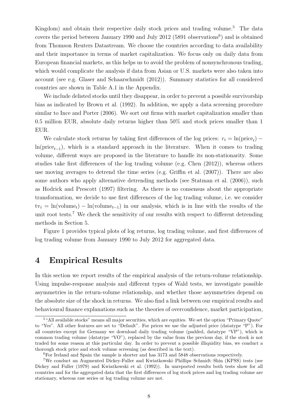Kingdom) and obtain their respective daily stock prices and trading volume.<sup>5</sup> The data covers the period between January 1990 and July 2012 (5891 observations<sup>6</sup>) and is obtained from Thomson Reuters Datastream. We choose the countries according to data availability and their importance in terms of market capitalization. We focus only on daily data from European financial markets, as this helps us to avoid the problem of nonsynchronous trading, which would complicate the analysis if data from Asian or U.S. markets were also taken into account (see e.g. Glaser and Schaarschmidt (2012)). Summary statistics for all considered countries are shown in Table A.1 in the Appendix.

We include delisted stocks until they disappear, in order to prevent a possible survivorship bias as indicated by Brown et al. (1992). In addition, we apply a data screening procedure similar to Ince and Porter (2006). We sort out firms with market capitalization smaller than 0.5 million EUR, absolute daily returns higher than 50% and stock prices smaller than 1 EUR.

We calculate stock returns by taking first differences of the log prices:  $r_t = \ln(\text{price}_t)$  –  $ln(price_{t-1})$ , which is a standard approach in the literature. When it comes to trading volume, different ways are proposed in the literature to handle its non-stationarity. Some studies take first differences of the log trading volume (e.g. Chen (2012)), whereas others use moving averages to detrend the time series (e.g. Griffin et al. (2007)). There are also some authors who apply alternative detrending methods (see Statman et al. (2006)), such as Hodrick and Prescott (1997) filtering. As there is no consensus about the appropriate transformation, we decide to use first differences of the log trading volume, i.e. we consider  $tv_t = ln(volume_t) - ln(volume_{t-1})$  in our analysis, which is in line with the results of the unit root tests.<sup>7</sup> We check the sensitivity of our results with respect to different detrending methods in Section 5.

Figure 1 provides typical plots of log returns, log trading volume, and first differences of log trading volume from January 1990 to July 2012 for aggregated data.

## 4 Empirical Results

In this section we report results of the empirical analysis of the return-volume relationship. Using impulse-response analysis and different types of Wald tests, we investigate possible asymmetries in the return-volume relationship, and whether those asymmetries depend on the absolute size of the shock in returns. We also find a link between our empirical results and behavioural finance explanations such as the theories of overconfidence, market participation,

<sup>&</sup>lt;sup>5</sup>"All available stocks" means all major securities, which are equities. We set the option "Primary Quote" to "Yes". All other features are set to "Default". For prices we use the adjusted price (datatype "P"). For all countries except for Germany we download daily trading volume (padded, datatype "VP"), which is common trading volume (datatype "VO"), replaced by the value from the previous day, if the stock is not traded for some reason at this particular day. In order to prevent a possible illiquidity bias, we conduct a thorough stock price and stock volume screening (as described in the text).

<sup>6</sup>For Ireland and Spain the sample is shorter and has 3173 and 5848 observations respectively.

<sup>7</sup>We conduct an Augmented Dickey-Fuller and Kwiatkowski–Phillips–Schmidt–Shin (KPSS) tests (see Dickey and Fuller (1979) and Kwiatkowski et al. (1992)). In unreported results both tests show for all countries and for the aggregated data that the first differences of log stock prices and log trading volume are stationary, whereas raw series or log trading volume are not.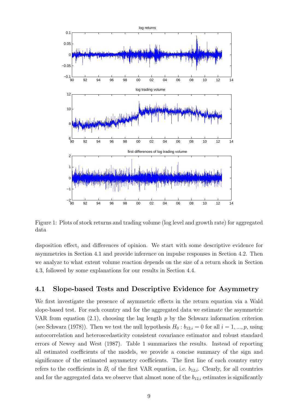

Figure 1: Plots of stock returns and trading volume (log level and growth rate) for aggregated data

disposition effect, and differences of opinion. We start with some descriptive evidence for asymmetries in Section 4.1 and provide inference on impulse responses in Section 4.2. Then we analyze to what extent volume reaction depends on the size of a return shock in Section 4.3, followed by some explanations for our results in Section 4.4.

## 4.1 Slope-based Tests and Descriptive Evidence for Asymmetry

We first investigate the presence of asymmetric effects in the return equation via a Wald slope-based test. For each country and for the aggregated data we estimate the asymmetric VAR from equation  $(2.1)$ , choosing the lag length p by the Schwarz information criterion (see Schwarz (1978)). Then we test the null hypothesis  $H_0 : b_{12,i} = 0$  for all  $i = 1, ..., p$ , using autocorrelation and heteroscedasticity consistent covariance estimator and robust standard errors of Newey and West (1987). Table 1 summarizes the results. Instead of reporting all estimated coefficients of the models, we provide a concise summary of the sign and significance of the estimated asymmetry coefficients. The first line of each country entry refers to the coefficients in  $B_i$  of the first VAR equation, i.e.  $b_{12,i}$ . Clearly, for all countries and for the aggregated data we observe that almost none of the  $b_{12,i}$  estimates is significantly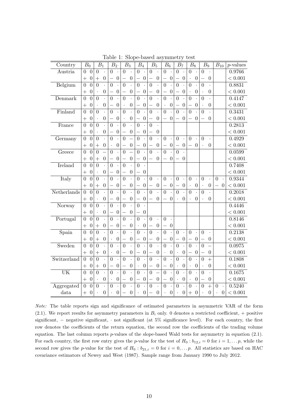| Country        | $\bar{B}_0$                            |                      | $B_1$                | B <sub>2</sub>           |                      |                          | $B_3$                | $B_4$                    |                      | $B_5$                    |                      | $\mathrm{\bar{B}_6}$ |                      | B <sub>7</sub>           |                      | $B_8$                |                      | B <sub>9</sub>       |                      | $B_{10}$             |                      | $p$ -values |
|----------------|----------------------------------------|----------------------|----------------------|--------------------------|----------------------|--------------------------|----------------------|--------------------------|----------------------|--------------------------|----------------------|----------------------|----------------------|--------------------------|----------------------|----------------------|----------------------|----------------------|----------------------|----------------------|----------------------|-------------|
| Austria        | $\overline{0}$<br>0                    | $\overline{0}$       | $\ddot{\phantom{0}}$ | $\theta$                 | $\cdot$              | $\overline{0}$           |                      | $\overline{0}$           | $\ddot{\phantom{0}}$ | $\overline{0}$           | $\ddot{\phantom{0}}$ | $\overline{0}$       | $\ddot{\phantom{a}}$ | $\theta$                 |                      | $\overline{0}$       | $\ddot{\phantom{a}}$ | $\overline{0}$       | $\ddot{\phantom{0}}$ |                      |                      | 0.9766      |
|                | $\boldsymbol{0}$<br>$^{+}$             | $^{+}$               | $\boldsymbol{0}$     | $\overline{\phantom{0}}$ | $\boldsymbol{0}$     |                          | $\boldsymbol{0}$     | $\overline{\phantom{0}}$ | $\boldsymbol{0}$     |                          | $\boldsymbol{0}$     |                      | $\boldsymbol{0}$     | —                        | $\boldsymbol{0}$     |                      | $\boldsymbol{0}$     |                      | $\boldsymbol{0}$     |                      |                      | < 0.001     |
| Belgium        | $\overline{0}$<br>$\overline{0}$       | $\overline{0}$       |                      | $\overline{0}$           |                      | $\overline{0}$           |                      | $\overline{0}$           |                      | $\overline{0}$           |                      | $\overline{0}$       |                      | $\overline{0}$           |                      | $\overline{0}$       |                      | $\overline{0}$       |                      |                      |                      | 0.8831      |
|                | $\boldsymbol{0}$<br>$+$                |                      | $\boldsymbol{0}$     |                          | $\boldsymbol{0}$     |                          | $\boldsymbol{0}$     |                          | $\boldsymbol{0}$     |                          | $\boldsymbol{0}$     |                      | $\boldsymbol{0}$     | —                        | $\boldsymbol{0}$     | $\ddot{\phantom{0}}$ | $\boldsymbol{0}$     | $\ddot{\phantom{1}}$ | $\boldsymbol{0}$     |                      |                      | < 0.001     |
| Denmark        | $\overline{0}$<br>$\overline{0}$       | $\overline{0}$       |                      | $\overline{0}$           |                      | $\overline{0}$           |                      | $\overline{0}$           |                      | $\overline{0}$           | $\ddot{\phantom{0}}$ | $\overline{0}$       |                      | $\overline{0}$           |                      | $\overline{0}$       |                      | $\overline{0}$       |                      |                      |                      | 0.4147      |
|                | $\boldsymbol{0}$<br>$\hspace{0.1mm} +$ |                      | $\boldsymbol{0}$     |                          | $\boldsymbol{0}$     | $\ddot{\phantom{0}}$     | $\boldsymbol{0}$     |                          | $\theta$             |                          | $\boldsymbol{0}$     |                      | $\boldsymbol{0}$     |                          | $\boldsymbol{0}$     |                      | $\boldsymbol{0}$     | $\cdot$              | $\overline{0}$       |                      |                      | < 0.001     |
| Finland        | $\overline{0}$<br>$\overline{0}$       | $\overline{0}$       |                      | $\overline{0}$           |                      | $\overline{0}$           |                      | $\overline{0}$           |                      | $\overline{0}$           |                      | $\overline{0}$       |                      | $\theta$                 |                      | $\overline{0}$       |                      | $\theta$             |                      |                      |                      | 0.3431      |
|                | $\boldsymbol{0}$<br>$^{+}$             |                      | $\boldsymbol{0}$     | $\overline{\phantom{0}}$ | $\boldsymbol{0}$     |                          | $\boldsymbol{0}$     | —                        | $\boldsymbol{0}$     | $\overline{\phantom{0}}$ | $\boldsymbol{0}$     |                      | $\boldsymbol{0}$     |                          | $\boldsymbol{0}$     |                      | $\theta$             |                      | $\overline{0}$       |                      |                      | < 0.001     |
| France         | $\overline{0}$<br>$\theta$             | $\overline{0}$       | $\ddot{\phantom{a}}$ | $\overline{0}$           | $\ddot{\phantom{0}}$ | $\overline{0}$           | $\cdot$              | $\overline{0}$           |                      | $\overline{0}$           | $\ddot{\phantom{0}}$ |                      |                      |                          |                      |                      |                      |                      |                      |                      |                      | 0.2813      |
|                | $\boldsymbol{0}$<br>$^{+}$             | $\ddot{\phantom{0}}$ | $\boldsymbol{0}$     | $\overline{\phantom{0}}$ | $\boldsymbol{0}$     |                          | $\boldsymbol{0}$     | $\overline{\phantom{0}}$ | $\boldsymbol{0}$     |                          | $\boldsymbol{0}$     |                      |                      |                          |                      |                      |                      |                      |                      |                      |                      | < 0.001     |
| Germany        | $\overline{0}$<br>$\overline{0}$       | $\overline{0}$       | $\ddot{\phantom{a}}$ | $\overline{0}$           | $\ddot{\phantom{0}}$ | $\overline{0}$           |                      | $\overline{0}$           | $\ddot{\phantom{0}}$ | $\overline{0}$           | $\ddot{\phantom{0}}$ | $\overline{0}$       | $\ddot{\phantom{0}}$ | $\overline{0}$           | $\cdot$              | $\overline{0}$       | $\ddot{\phantom{0}}$ | $\overline{0}$       | $\ddot{\phantom{a}}$ |                      |                      | 0.4929      |
|                | $\boldsymbol{0}$<br>$+$                | $^{+}$               | $\boldsymbol{0}$     | $\ddot{\phantom{0}}$     | $\boldsymbol{0}$     |                          | $\boldsymbol{0}$     |                          | $\boldsymbol{0}$     | $\overline{\phantom{0}}$ | $\boldsymbol{0}$     |                      | $\boldsymbol{0}$     | $\equiv$                 | $\boldsymbol{0}$     |                      | $\theta$             | $\cdot$              | $\overline{0}$       |                      |                      | < 0.001     |
| Greece         | $\overline{0}$<br>$\overline{0}$       | $\theta$             |                      | $\theta$                 |                      | $\overline{0}$           |                      | $\overline{0}$           |                      | $\overline{0}$           | $\ddot{\phantom{0}}$ | $\overline{0}$       |                      | $\theta$                 |                      |                      |                      |                      |                      |                      |                      | 0.0599      |
|                | $\boldsymbol{0}$<br>$^{+}$             | $^{+}$               | $\boldsymbol{0}$     |                          | $\boldsymbol{0}$     |                          | $\boldsymbol{0}$     |                          | $\boldsymbol{0}$     |                          | $\overline{0}$       |                      | $\theta$             |                          | $\theta$             |                      |                      |                      |                      |                      |                      | < 0.001     |
| <b>Ireland</b> | $\overline{0}$<br>$\overline{0}$       | $\overline{0}$       | $\ddot{\phantom{a}}$ | $\overline{0}$           |                      | $\overline{0}$           | $\ddot{\phantom{0}}$ | $\overline{0}$           |                      |                          |                      |                      |                      |                          |                      |                      |                      |                      |                      |                      |                      | 0.7408      |
|                | $\boldsymbol{0}$<br>$\hspace{0.1mm} +$ | $\cdot$              | $\overline{0}$       | $\overline{\phantom{0}}$ | $\boldsymbol{0}$     |                          | $\boldsymbol{0}$     | —                        | $\boldsymbol{0}$     |                          |                      |                      |                      |                          |                      |                      |                      |                      |                      |                      |                      | < 0.001     |
| Italy          | $\overline{0}$<br>$\overline{0}$       | $\overline{0}$       | $\ddot{\phantom{a}}$ | $\overline{0}$           |                      | $\overline{0}$           | $\ddot{\phantom{0}}$ | $\overline{0}$           |                      | $\overline{0}$           | $\ddot{\phantom{0}}$ | $\overline{0}$       | $\ddot{\phantom{0}}$ | $\overline{0}$           | $\ddot{\phantom{0}}$ | $\overline{0}$       | $\ddot{\phantom{0}}$ | $\overline{0}$       | $\ddot{\phantom{0}}$ | $\overline{0}$       | $\ddot{\phantom{a}}$ | 0.9344      |
|                | $\boldsymbol{0}$<br>$\, +$             | $^{+}$               | $\theta$             |                          | $\boldsymbol{0}$     |                          | $\boldsymbol{0}$     |                          | $\boldsymbol{0}$     |                          | $\boldsymbol{0}$     |                      | $\boldsymbol{0}$     | $\overline{\phantom{0}}$ | $\boldsymbol{0}$     | $\ddot{\phantom{a}}$ | $\boldsymbol{0}$     | $\cdot$              | $\boldsymbol{0}$     |                      | 0                    | < 0.001     |
| Netherlands    | $\overline{0}$<br>$\overline{0}$       | $\overline{0}$       | $\ddot{\phantom{0}}$ | $\overline{0}$           |                      | $\overline{0}$           | $\ddot{\phantom{0}}$ | $\overline{0}$           |                      | $\overline{0}$           | $\ddot{\phantom{0}}$ | $\overline{0}$       | $\ddot{\phantom{0}}$ | $\overline{0}$           |                      | $\overline{0}$       | $\ddot{\phantom{0}}$ | $\overline{0}$       | $\ddot{\phantom{0}}$ |                      |                      | 0.2018      |
|                | $\boldsymbol{0}$<br>$^{+}$             |                      | $\boldsymbol{0}$     |                          | $\boldsymbol{0}$     |                          | $\boldsymbol{0}$     |                          | $\theta$             |                          | $\boldsymbol{0}$     |                      | $\theta$             | $\ddot{\phantom{0}}$     | $\overline{0}$       |                      | $\overline{0}$       |                      | $\overline{0}$       |                      |                      | < 0.001     |
| Norway         | $\overline{0}$<br>$\overline{0}$       | $\overline{0}$       | $\ddot{\phantom{a}}$ | $\overline{0}$           |                      | $\overline{0}$           |                      | $\overline{0}$           |                      |                          |                      |                      |                      |                          |                      |                      |                      |                      |                      |                      |                      | 0.4446      |
|                | $\overline{0}$<br>$^{+}$               |                      | $\boldsymbol{0}$     |                          | $\boldsymbol{0}$     |                          | $\boldsymbol{0}$     |                          | $\boldsymbol{0}$     |                          |                      |                      |                      |                          |                      |                      |                      |                      |                      |                      |                      | < 0.001     |
| Portugal       | $\overline{0}$<br>$\overline{0}$       | $\overline{0}$       | $\ddot{\phantom{a}}$ | $\overline{0}$           | $\cdot$              | $\overline{0}$           | $\cdot$              | $\overline{0}$           |                      | $\overline{0}$           | $\ddot{\phantom{a}}$ | $\overline{0}$       | $\Box$               |                          |                      |                      |                      |                      |                      |                      |                      | 0.8146      |
|                | $\boldsymbol{0}$<br>$^{+}$             | $^{+}$               | $\boldsymbol{0}$     | $\overline{\phantom{0}}$ | $\boldsymbol{0}$     | —                        | $\boldsymbol{0}$     | $\bullet$                | $\boldsymbol{0}$     |                          | $\boldsymbol{0}$     |                      | $\theta$             |                          |                      |                      |                      |                      |                      |                      |                      | < 0.001     |
| Spain          | $\overline{0}$<br>$\overline{0}$       | $\overline{0}$       | $\ddot{\phantom{0}}$ | $\overline{0}$           |                      | $\overline{0}$           | $\cdot$              | $\overline{0}$           |                      | $\overline{0}$           | $\ddot{\phantom{a}}$ | $\overline{0}$       | $\cdot$              | $\overline{0}$           | $\cdot$              | $\overline{0}$       | $\ddot{\phantom{0}}$ | $\overline{0}$       | $\ddot{\phantom{0}}$ |                      |                      | 0.2138      |
|                | $\boldsymbol{0}$<br>$+$                | $^{+}$               | $\boldsymbol{0}$     | $\ddot{\phantom{0}}$     | $\boldsymbol{0}$     | $\overline{\phantom{0}}$ | $\boldsymbol{0}$     | $\equiv$                 | $\boldsymbol{0}$     | $\overline{\phantom{0}}$ | $\boldsymbol{0}$     | $\qquad \qquad$      | $\boldsymbol{0}$     | $\equiv$                 | $\boldsymbol{0}$     | $\qquad \qquad$      | $\boldsymbol{0}$     |                      | $\boldsymbol{0}$     |                      |                      | < 0.001     |
| Sweden         | $\overline{0}$<br>$\overline{0}$       | $\overline{0}$       |                      | $\overline{0}$           |                      | $\overline{0}$           | $\ddot{\phantom{0}}$ | $\overline{0}$           | $\ddot{\phantom{0}}$ | $\overline{0}$           | $\ddot{\phantom{a}}$ | $\overline{0}$       | $\ddot{\phantom{0}}$ | $\overline{0}$           |                      | $\overline{0}$       |                      | $\overline{0}$       |                      |                      |                      | 0.0975      |
|                | $\boldsymbol{0}$<br>$+$                | $^{+}$               | $\boldsymbol{0}$     | $\ddot{\phantom{0}}$     | $\boldsymbol{0}$     |                          | $\boldsymbol{0}$     |                          | $\boldsymbol{0}$     |                          | $\boldsymbol{0}$     |                      | $\boldsymbol{0}$     | $\ddot{\phantom{0}}$     | $\boldsymbol{0}$     |                      | $\boldsymbol{0}$     |                      | $\boldsymbol{0}$     |                      |                      | < 0.001     |
| Switzerland    | $\theta$<br>$\overline{0}$             | $\overline{0}$       |                      | $\overline{0}$           |                      | $\overline{0}$           |                      | $\overline{0}$           |                      | $\overline{0}$           |                      | $\overline{0}$       |                      | $\overline{0}$           |                      | $\overline{0}$       |                      | $\overline{0}$       | $\ddot{}$            |                      |                      | 0.1808      |
|                | $\boldsymbol{0}$<br>$^{+}$             | $^{+}$               | $\boldsymbol{0}$     | $\overline{\phantom{0}}$ | $\boldsymbol{0}$     | —                        | $\boldsymbol{0}$     | $\cdot$                  | $\boldsymbol{0}$     | $\overline{\phantom{0}}$ | $\boldsymbol{0}$     |                      | $\boldsymbol{0}$     | $\ddot{\phantom{0}}$     | $\boldsymbol{0}$     | $\ddot{\phantom{0}}$ | $\boldsymbol{0}$     | $\ddot{\phantom{0}}$ | $\overline{0}$       |                      |                      | < 0.001     |
| UK             | $\overline{0}$<br>$\theta$             | $\overline{0}$       | $\ddot{\phantom{0}}$ | $\theta$                 |                      | $\overline{0}$           |                      | $\overline{0}$           |                      | $\overline{0}$           |                      | $\overline{0}$       |                      | $\overline{0}$           |                      | $\overline{0}$       |                      | $\overline{0}$       |                      |                      |                      | 0.1675      |
|                | $\boldsymbol{0}$<br>$\pm$              | $\bullet$            | $\boldsymbol{0}$     | $\cdot$                  | $\boldsymbol{0}$     | $\overline{\phantom{0}}$ | $\boldsymbol{0}$     | —                        | $\boldsymbol{0}$     | $\overline{\phantom{0}}$ | $\boldsymbol{0}$     | —                    | $\boldsymbol{0}$     | $\cdot$                  | $\boldsymbol{0}$     | $\ddot{\phantom{0}}$ | $\boldsymbol{0}$     |                      | $\boldsymbol{0}$     |                      |                      | < 0.001     |
| Aggregated     | $\overline{0}$<br>$\overline{0}$       | $\overline{0}$       |                      | $\overline{0}$           |                      | $\overline{0}$           |                      | $\overline{0}$           |                      | $\overline{0}$           |                      | $\overline{0}$       |                      | $\overline{0}$           |                      | $\overline{0}$       |                      | $\overline{0}$       | $\overline{+}$       | $\overline{0}$       | $\cdot$              | 0.5240      |
| data           | $\boldsymbol{0}$<br>$+$                |                      | $\overline{0}$       |                          | $\boldsymbol{0}$     | $\qquad \qquad$          | $\boldsymbol{0}$     | $\ddot{\phantom{0}}$     | $\boldsymbol{0}$     | $\qquad \qquad -$        | $\boldsymbol{0}$     |                      | $\boldsymbol{0}$     | $\ddot{\phantom{0}}$     | $\boldsymbol{0}$     | $+$                  | $\boldsymbol{0}$     | $\ddot{\phantom{0}}$ | $\overline{0}$       | $\ddot{\phantom{0}}$ | $\boldsymbol{0}$     | < 0.001     |

Table 1: Slope-based asymmetry test

Note: The table reports sign and significance of estimated parameters in asymmetric VAR of the form (2.1). We report results for asymmetry parameters in  $B_i$  only. 0 denotes a restricted coefficient, + positive significant, – negative significant, · not significant (at 5% significance level). For each country, the first row denotes the coefficients of the return equation, the second row the coefficients of the trading volume equation. The last column reports  $p$ -values of the slope-based Wald tests for asymmetry in equation (2.1). For each country, the first row entry gives the p-value for the test of  $H_0 : b_{12,i} = 0$  for  $i = 1, \ldots p$ , while the second row gives the p-value for the test of  $H_0: b_{21,i} = 0$  for  $i = 0, \ldots p$ . All statistics are based on HAC covariance estimators of Newey and West (1987). Sample range from January 1990 to July 2012.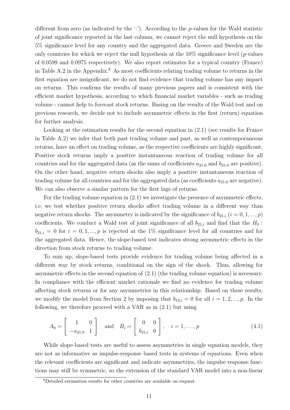different from zero (as indicated by the  $\cdot$ ). According to the p-values for the Wald statistic of joint significance reported in the last column, we cannot reject the null hypothesis on the 5% significance level for any country and the aggregated data. Greece and Sweden are the only countries for which we reject the null hypothesis at the  $10\%$  significance level (*p*-values of 0.0599 and 0.0975 respectively). We also report estimates for a typical country (France) in Table A.2 in the Appendix.<sup>8</sup> As most coefficients relating trading volume to returns in the first equation are insignificant, we do not find evidence that trading volume has any impact on returns. This confirms the results of many previous papers and is consistent with the efficient market hypothesis, according to which financial market variables - such as trading volume - cannot help to forecast stock returns. Basing on the results of the Wald test and on previous research, we decide not to include asymmetric effects in the first (return) equation for further analysis.

Looking at the estimation results for the second equation in  $(2.1)$  (see results for France in Table A.2) we infer that both past trading volume and past, as well as contemporaneous returns, have an effect on trading volume, as the respective coefficients are highly significant. Positive stock returns imply a positive instantaneous reaction of trading volume for all countries and for the aggregated data (as the sums of coefficients  $a_{21,0}$  and  $b_{21,0}$  are positive). On the other hand, negative return shocks also imply a positive instantaneous reaction of trading volume for all countries and for the aggregated data (as coefficients  $a_{21,0}$  are negative). We can also observe a similar pattern for the first lags of returns.

For the trading volume equation in (2.1) we investigate the presence of asymmetric effects, i.e. we test whether positive return shocks affect trading volume in a different way than negative return shocks. The asymmetry is indicated by the significance of  $b_{21,i}$   $(i = 0, 1, ..., p)$ coefficients. We conduct a Wald test of joint significance of all  $b_{21,i}$  and find that the  $H_0$ :  $b_{21,i} = 0$  for  $i = 0, 1, ..., p$  is rejected at the 1% significance level for all countries and for the aggregated data. Hence, the slope-based test indicates strong asymmetric effects in the direction from stock returns to trading volume.

To sum up, slope-based tests provide evidence for trading volume being affected in a different way by stock returns, conditional on the sign of the shock. Thus, allowing for asymmetric effects in the second equation of (2.1) (the trading volume equation) is necessary. In compliance with the efficient market rationale we find no evidence for trading volume affecting stock returns or for any asymmetries in this relationship. Based on these results, we modify the model from Section 2 by imposing that  $b_{12,i} = 0$  for all  $i = 1, 2, ..., p$ . In the following, we therefore proceed with a VAR as in (2.1) but using

$$
A_0 = \begin{bmatrix} 1 & 0 \\ -a_{21,0} & 1 \end{bmatrix} \text{ and } B_i = \begin{bmatrix} 0 & 0 \\ b_{21,i} & 0 \end{bmatrix}, \quad i = 1,\dots,p
$$
 (4.1)

While slope-based tests are useful to assess asymmetries in single equation models, they are not as informative as impulse-response based tests in systems of equations. Even when the relevant coefficients are significant and indicate asymmetries, the impulse response functions may still be symmetric, so the extension of the standard VAR model into a non-linear

<sup>8</sup>Detailed estimation results for other countries are available on request.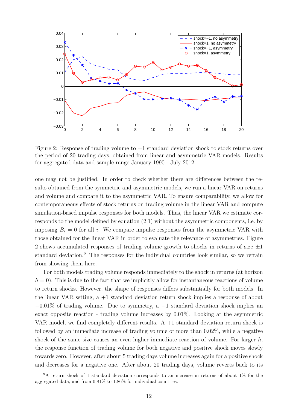

Figure 2: Response of trading volume to  $\pm 1$  standard deviation shock to stock returns over the period of 20 trading days, obtained from linear and asymmetric VAR models. Results for aggregated data and sample range January 1990 - July 2012.

one may not be justified. In order to check whether there are differences between the results obtained from the symmetric and asymmetric models, we run a linear VAR on returns and volume and compare it to the asymmetric VAR. To ensure comparability, we allow for contemporaneous effects of stock returns on trading volume in the linear VAR and compute simulation-based impulse responses for both models. Thus, the linear VAR we estimate corresponds to the model defined by equation (2.1) without the asymmetric components, i.e. by imposing  $B_i = 0$  for all i. We compare impulse responses from the asymmetric VAR with those obtained for the linear VAR in order to evaluate the relevance of asymmetries. Figure 2 shows accumulated responses of trading volume growth to shocks in returns of size  $\pm 1$ standard deviation.<sup>9</sup> The responses for the individual countries look similar, so we refrain from showing them here.

For both models trading volume responds immediately to the shock in returns (at horizon  $h = 0$ . This is due to the fact that we implicitly allow for instantaneous reactions of volume to return shocks. However, the shape of responses differs substantially for both models. In the linear VAR setting, a +1 standard deviation return shock implies a response of about  $-0.01\%$  of trading volume. Due to symmetry, a  $-1$  standard deviation shock implies an exact opposite reaction - trading volume increases by 0.01%. Looking at the asymmetric VAR model, we find completely different results.  $A + 1$  standard deviation return shock is followed by an immediate increase of trading volume of more than 0.02%, while a negative shock of the same size causes an even higher immediate reaction of volume. For larger  $h$ , the response function of trading volume for both negative and positive shock moves slowly towards zero. However, after about 5 trading days volume increases again for a positive shock and decreases for a negative one. After about 20 trading days, volume reverts back to its

<sup>&</sup>lt;sup>9</sup>A return shock of 1 standard deviation corresponds to an increase in returns of about 1% for the aggregated data, and from 0.81% to 1.86% for individual countries.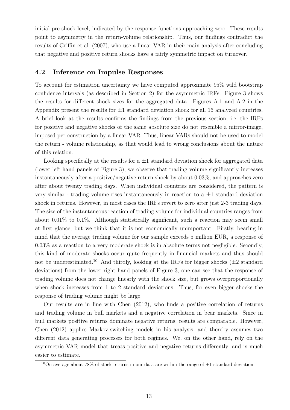initial pre-shock level, indicated by the response functions approaching zero. These results point to asymmetry in the return-volume relationship. Thus, our findings contradict the results of Griffin et al. (2007), who use a linear VAR in their main analysis after concluding that negative and positive return shocks have a fairly symmetric impact on turnover.

## 4.2 Inference on Impulse Responses

To account for estimation uncertainty we have computed approximate 95% wild bootstrap confidence intervals (as described in Section 2) for the asymmetric IRFs. Figure 3 shows the results for different shock sizes for the aggregated data. Figures A.1 and A.2 in the Appendix present the results for  $\pm 1$  standard deviation shock for all 16 analyzed countries. A brief look at the results confirms the findings from the previous section, i.e. the IRFs for positive and negative shocks of the same absolute size do not resemble a mirror-image, imposed per construction by a linear VAR. Thus, linear VARs should not be used to model the return - volume relationship, as that would lead to wrong conclusions about the nature of this relation.

Looking specifically at the results for  $a \pm 1$  standard deviation shock for aggregated data (lower left hand panels of Figure 3), we observe that trading volume significantly increases instantaneously after a positive/negative return shock by about 0.03%, and approaches zero after about twenty trading days. When individual countries are considered, the pattern is very similar - trading volume rises instantaneously in reaction to a  $\pm 1$  standard deviation shock in returns. However, in most cases the IRFs revert to zero after just 2-3 trading days. The size of the instantaneous reaction of trading volume for individual countries ranges from about 0.01% to 0.1%. Although statistically significant, such a reaction may seem small at first glance, but we think that it is not economically unimportant. Firstly, bearing in mind that the average trading volume for our sample exceeds 5 million EUR, a response of 0.03% as a reaction to a very moderate shock is in absolute terms not negligible. Secondly, this kind of moderate shocks occur quite frequently in financial markets and thus should not be underestimated.<sup>10</sup> And thirdly, looking at the IRFs for bigger shocks ( $\pm 2$  standard deviations) from the lower right hand panels of Figure 3, one can see that the response of trading volume does not change linearly with the shock size, but grows overproportionally when shock increases from 1 to 2 standard deviations. Thus, for even bigger shocks the response of trading volume might be large.

Our results are in line with Chen (2012), who finds a positive correlation of returns and trading volume in bull markets and a negative correlation in bear markets. Since in bull markets positive returns dominate negative returns, results are comparable. However, Chen (2012) applies Markov-switching models in his analysis, and thereby assumes two different data generating processes for both regimes. We, on the other hand, rely on the asymmetric VAR model that treats positive and negative returns differently, and is much easier to estimate.

<sup>&</sup>lt;sup>10</sup>On average about 78% of stock returns in our data are within the range of  $\pm 1$  standard deviation.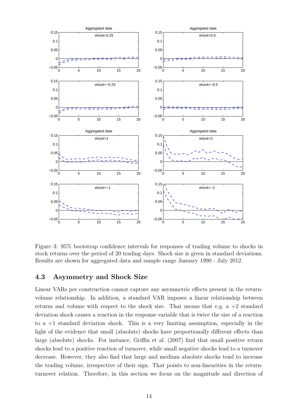

Figure 3: 95% bootstrap confidence intervals for responses of trading volume to shocks in stock returns over the period of 20 trading days. Shock size is given in standard deviations. Results are shown for aggregated data and sample range January 1990 - July 2012.

### 4.3 Asymmetry and Shock Size

Linear VARs per construction cannot capture any asymmetric effects present in the returnvolume relationship. In addition, a standard VAR imposes a linear relationship between returns and volume with respect to the shock size. That means that e.g.  $a + 2$  standard deviation shock causes a reaction in the response variable that is twice the size of a reaction to a  $+1$  standard deviation shock. This is a very limiting assumption, especially in the light of the evidence that small (absolute) shocks have proportionally different effects than large (absolute) shocks. For instance, Griffin et al. (2007) find that small positive return shocks lead to a positive reaction of turnover, while small negative shocks lead to a turnover decrease. However, they also find that large and medium absolute shocks tend to increase the trading volume, irrespective of their sign. That points to non-linearities in the returnturnover relation. Therefore, in this section we focus on the magnitude and direction of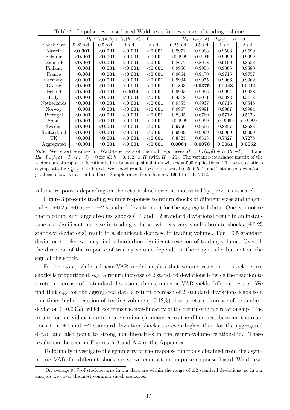|             |             |                                                               |             |             |                                                                 |            | $\circ$ |          |  |  |  |
|-------------|-------------|---------------------------------------------------------------|-------------|-------------|-----------------------------------------------------------------|------------|---------|----------|--|--|--|
|             |             | $H_0: I_{\text{tv}}(h,\delta) + I_{\text{tv}}(h,-\delta) = 0$ |             |             | $H_0: I_{\text{tv}}(h, \delta) - I_{\text{tv}}(h, -\delta) = 0$ |            |         |          |  |  |  |
| Shock Size  | $0.25$ s.d. | $0.5$ s.d.                                                    | 1 s.d.      | 2 s.d.      | $0.25$ s.d.                                                     | $0.5$ s.d. | 1 s.d.  | 2 s.d.   |  |  |  |
| Austria     | $<$ 0.001   | $<$ $0.001$                                                   | $<$ $0.001$ | $<$ 0.001   | 0.9971                                                          | 0.9908     | 0.9508  | 0.9699   |  |  |  |
| Belgium     | ${<}0.001$  | ${<}0.001$                                                    | $<$ 0.001   | ${<}0.001$  | >0.9999                                                         | >0.9999    | 0.9999  | 0.9999   |  |  |  |
| Denmark     | $<$ $0.001$ | $<$ $0.001$                                                   | $<$ $0.001$ | $<$ 0.001   | 0.8677                                                          | 0.8678     | 0.9100  | 0.8558   |  |  |  |
| Finland     | $<$ $0.001$ | $<$ $0.001$                                                   | $<$ $0.001$ | $<$ $0.001$ | 0.9956                                                          | 0.9955     | 0.9866  | 0.9880   |  |  |  |
| France      | ${<}0.001$  | ${<}0.001$                                                    | $<$ 0.001   | $<$ 0.001   | 0.9664                                                          | 0.9470     | 0.9715  | 0.9757   |  |  |  |
| Germany     | $<$ $0.001$ | $<$ 0.001                                                     | $<$ $0.001$ | $<$ 0.001   | 0.9994                                                          | 0.9975     | 0.9966  | 0.9962   |  |  |  |
| Greece      | $<$ $0.001$ | $<$ $0.001$                                                   | $<$ $0.001$ | $<$ 0.001   | 0.1893                                                          | 0.0375     | 0.0048  | 0.0014   |  |  |  |
| Ireland     | ${<}0.001$  | ${<}0.001$                                                    | 0.0014      | ${<}0.001$  | 0.9995                                                          | 0.9996     | 0.9994  | 0.9988   |  |  |  |
| Italy       | $<$ $0.001$ | $<$ 0.001                                                     | $<$ $0.001$ | $<$ 0.001   | 0.4318                                                          | 0.3071     | 0.3083  | 0.3118   |  |  |  |
| Netherlands | $<$ $0.001$ | ${<}0.001$                                                    | $<$ $0.001$ | ${<}0.001$  | 0.9355                                                          | 0.8937     | 0.8713  | 0.8546   |  |  |  |
| Norway      | ${<}0.001$  | ${<}0.001$                                                    | $<$ $0.001$ | ${<}0.001$  | 0.9967                                                          | 0.9991     | 0.9987  | 0.9984   |  |  |  |
| Portugal    | $<$ $0.001$ | $<$ $0.001$                                                   | $<$ $0.001$ | $<$ 0.001   | 0.8335                                                          | 0.6769     | 0.5712  | 0.5173   |  |  |  |
| Spain       | $<$ 0.001   | ${<}0.001$                                                    | $<$ 0.001   | ${<}0.001$  | >0.9999                                                         | 0.9999     | >0.9999 | > 0.9999 |  |  |  |
| Sweden      | $<$ $0.001$ | $<$ $0.001$                                                   | $<$ $0.001$ | $<$ 0.001   | 0.9750                                                          | 0.9606     | 0.8857  | 0.8588   |  |  |  |
| Switzerland | $<$ $0.001$ | $<$ $0.001$                                                   | $<$ $0.001$ | $<$ $0.001$ | 0.9999                                                          | 0.9999     | 0.9999  | 0.9999   |  |  |  |
| UK          | ${<}0.001$  | ${<}0.001$                                                    | ${<}0.001$  | $<$ $0.001$ | 0.8325                                                          | 0.6313     | 0.7327  | 0.7276   |  |  |  |
| Aggregated  | $<$ 0.001   | ${<}0.001$                                                    | $<$ 0.001   | ${<}0.001$  | 0.0064                                                          | 0.0070     | 0.0061  | 0.0052   |  |  |  |

Table 2: Impulse-response based Wald tests for responses of trading volume

*Note:* We report p-values for Wald-type tests of the null hypotheses  $H_0: I_{\text{tv}}(h, \delta) + I_{\text{tv}}(h, -\delta) = 0$  and  $H_0: I_{\text{tv}}(h, \delta) - I_{\text{tv}}(h, -\delta) = 0$  for all  $h = 0, 1, 2, ..., H$  (with  $H = 20$ ). The variance-covariance matrix of the vector sum of responses is estimated by bootstrap simulation with  $m = 500$  replications. The test statistic is asymptotically  $\chi^2_{H+1}$ -distributed. We report results for shock sizes of 0.25, 0.5, 1, and 2 standard deviations. p-values below 0.1 are in boldface. Sample range from January 1990 to July 2012.

volume responses depending on the return shock size, as motivated by previous research.

Figure 3 presents trading volume responses to return shocks of different sizes and magnitudes ( $\pm 0.25$ ,  $\pm 0.5$ ,  $\pm 1$ ,  $\pm 2$  standard deviations<sup>11</sup>) for the aggregated data. One can notice that medium and large absolute shocks  $(\pm 1$  and  $\pm 2$  standard deviations) result in an instantaneous, significant increase in trading volume, whereas very small absolute shocks  $(\pm 0.25$ standard deviations) result in a significant decrease in trading volume. For  $\pm 0.5$  standard deviation shocks, we only find a borderline significant reaction of trading volume. Overall, the direction of the response of trading volume depends on the magnitude, but not on the sign of the shock.

Furthermore, while a linear VAR model implies that volume reaction to stock return shocks is proportional, e.g. a return increase of 2 standard deviations is twice the reaction to a return increase of 1 standard deviation, the asymmetric VAR yields different results. We find that e.g. for the aggregated data a return decrease of 2 standard deviations leads to a four times higher reaction of trading volume  $(+0.12\%)$  than a return decrease of 1 standard deviation  $(+0.03\%)$ , which confirms the non-linearity of the return-volume relationship. The results for individual countries are similar (in many cases the differences between the reactions to a  $\pm 1$  and  $\pm 2$  standard deviation shocks are even higher than for the aggregated data), and also point to strong non-linearities in the return-volume relationship. These results can be seen in Figures A.3 and A.4 in the Appendix.

To formally investigate the symmetry of the response functions obtained from the asymmetric VAR for different shock sizes, we conduct an impulse-response based Wald test,

<sup>&</sup>lt;sup>11</sup>On average 95% of stock returns in our data are within the range of  $\pm 2$  standard deviations, so in our analysis we cover the most common shock scenarios.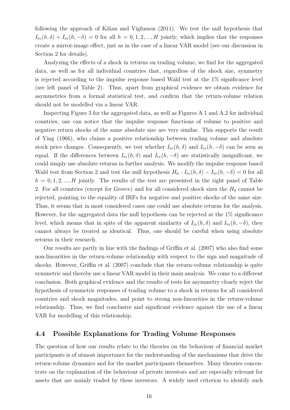following the approach of Kilian and Vigfusson (2011). We test the null hypothesis that  $I_{\text{tv}}(h,\delta) + I_{\text{tv}}(h,-\delta) = 0$  for all  $h = 0,1,2,...,H$  jointly, which implies that the responses create a mirror-image effect, just as in the case of a linear VAR model (see our discussion in Section 2 for details).

Analyzing the effects of a shock in returns on trading volume, we find for the aggregated data, as well as for all individual countries that, regardless of the shock size, symmetry is rejected according to the impulse response based Wald test at the 1% significance level (see left panel of Table 2). Thus, apart from graphical evidence we obtain evidence for asymmetries from a formal statistical test, and confirm that the return-volume relation should not be modelled via a linear VAR.

Inspecting Figure 3 for the aggregated data, as well as Figures A.1 and A.2 for individual countries, one can notice that the impulse response functions of volume to positive and negative return shocks of the same absolute size are very similar. This supports the result of Ying (1966), who claims a positive relationship between trading volume and absolute stock price changes. Consequently, we test whether  $I_{\text{tv}}(h, \delta)$  and  $I_{\text{tv}}(h, -\delta)$  can be seen as equal. If the differences between  $I_{tv}(h, \delta)$  and  $I_{tv}(h, -\delta)$  are statistically insignificant, we could simply use absolute returns in further analysis. We modify the impulse response based Wald test from Section 2 and test the null hypothesis  $H_0: I_{\text{tv}}(h, \delta) - I_{\text{tv}}(h, -\delta) = 0$  for all  $h = 0, 1, 2, ..., H$  jointly. The results of the test are presented in the right panel of Table 2. For all countries (except for Greece) and for all considered shock sizes the  $H_0$  cannot be rejected, pointing to the equality of IRFs for negative and positive shocks of the same size. Thus, it seems that in most considered cases one could use absolute returns for the analysis. However, for the aggregated data the null hypothesis can be rejected at the 1% significance level, which means that in spite of the apparent similarity of  $I_{\text{tv}}(h, \delta)$  and  $I_{\text{tv}}(h, -\delta)$ , they cannot always be treated as identical. Thus, one should be careful when using absolute returns in their research.

Our results are partly in line with the findings of Griffin et al. (2007) who also find some non-linearities in the return-volume relationship with respect to the sign and magnitude of shocks. However, Griffin et al. (2007) conclude that the return-volume relationship is quite symmetric and thereby use a linear VAR model in their main analysis. We come to a different conclusion. Both graphical evidence and the results of tests for asymmetry clearly reject the hypothesis of symmetric responses of trading volume to a shock in returns for all considered countries and shock magnitudes, and point to strong non-linearities in the return-volume relationship. Thus, we find conclusive and significant evidence against the use of a linear VAR for modelling of this relationship.

#### 4.4 Possible Explanations for Trading Volume Responses

The question of how our results relate to the theories on the behaviour of financial market participants is of utmost importance for the understanding of the mechanisms that drive the return-volume dynamics and for the market participants themselves. Many theories concentrate on the explanation of the behaviour of private investors and are especially relevant for assets that are mainly traded by these investors. A widely used criterion to identify such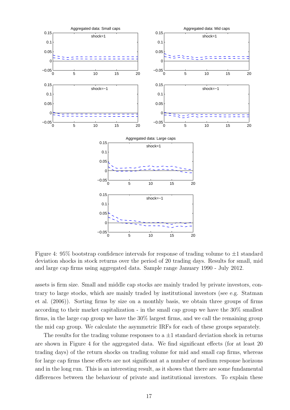

Figure 4: 95% bootstrap confidence intervals for response of trading volume to  $\pm 1$  standard deviation shocks in stock returns over the period of 20 trading days. Results for small, mid and large cap firms using aggregated data. Sample range January 1990 - July 2012.

assets is firm size. Small and middle cap stocks are mainly traded by private investors, contrary to large stocks, which are mainly traded by institutional investors (see e.g. Statman et al. (2006)). Sorting firms by size on a monthly basis, we obtain three groups of firms according to their market capitalization - in the small cap group we have the 30% smallest firms, in the large cap group we have the 30% largest firms, and we call the remaining group the mid cap group. We calculate the asymmetric IRFs for each of these groups separately.

The results for the trading volume responses to a  $\pm 1$  standard deviation shock in returns are shown in Figure 4 for the aggregated data. We find significant effects (for at least 20 trading days) of the return shocks on trading volume for mid and small cap firms, whereas for large cap firms these effects are not significant at a number of medium response horizons and in the long run. This is an interesting result, as it shows that there are some fundamental differences between the behaviour of private and institutional investors. To explain these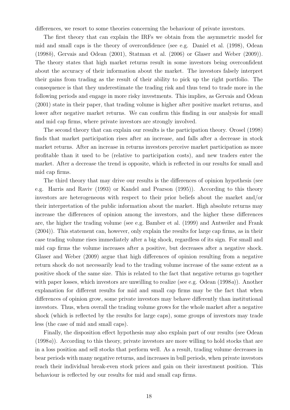differences, we resort to some theories concerning the behaviour of private investors.

The first theory that can explain the IRFs we obtain from the asymmetric model for mid and small caps is the theory of overconfidence (see e.g. Daniel et al. (1998), Odean (1998b), Gervais and Odean (2001), Statman et al. (2006) or Glaser and Weber (2009)). The theory states that high market returns result in some investors being overconfident about the accuracy of their information about the market. The investors falsely interpret their gains from trading as the result of their ability to pick up the right portfolio. The consequence is that they underestimate the trading risk and thus tend to trade more in the following periods and engage in more risky investments. This implies, as Gervais and Odean (2001) state in their paper, that trading volume is higher after positive market returns, and lower after negative market returns. We can confirm this finding in our analysis for small and mid cap firms, where private investors are strongly involved.

The second theory that can explain our results is the participation theory. Orosel (1998) finds that market participation rises after an increase, and falls after a decrease in stock market returns. After an increase in returns investors perceive market participation as more profitable than it used to be (relative to participation costs), and new traders enter the market. After a decrease the trend is opposite, which is reflected in our results for small and mid cap firms.

The third theory that may drive our results is the differences of opinion hypothesis (see e.g. Harris and Raviv (1993) or Kandel and Pearson (1995)). According to this theory investors are heterogeneous with respect to their prior beliefs about the market and/or their interpretation of the public information about the market. High absolute returns may increase the differences of opinion among the investors, and the higher these differences are, the higher the trading volume (see e.g. Bamber et al. (1999) and Antweiler and Frank (2004)). This statement can, however, only explain the results for large cap firms, as in their case trading volume rises immediately after a big shock, regardless of its sign. For small and mid cap firms the volume increases after a positive, but decreases after a negative shock. Glaser and Weber (2009) argue that high differences of opinion resulting from a negative return shock do not necessarily lead to the trading volume increase of the same extent as a positive shock of the same size. This is related to the fact that negative returns go together with paper losses, which investors are unwilling to realize (see e.g. Odean (1998a)). Another explanation for different results for mid and small cap firms may be the fact that when differences of opinion grow, some private investors may behave differently than institutional investors. Thus, when overall the trading volume grows for the whole market after a negative shock (which is reflected by the results for large caps), some groups of investors may trade less (the case of mid and small caps).

Finally, the disposition effect hypothesis may also explain part of our results (see Odean (1998a)). According to this theory, private investors are more willing to hold stocks that are in a loss position and sell stocks that perform well. As a result, trading volume decreases in bear periods with many negative returns, and increases in bull periods, when private investors reach their individual break-even stock prices and gain on their investment position. This behaviour is reflected by our results for mid and small cap firms.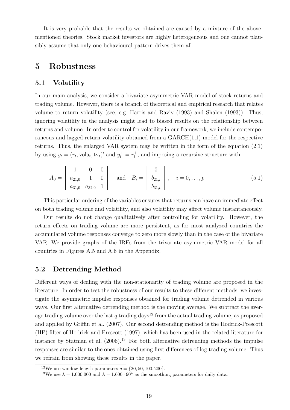It is very probable that the results we obtained are caused by a mixture of the abovementioned theories. Stock market investors are highly heterogeneous and one cannot plausibly assume that only one behavioural pattern drives them all.

## 5 Robustness

#### 5.1 Volatility

In our main analysis, we consider a bivariate asymmetric VAR model of stock returns and trading volume. However, there is a branch of theoretical and empirical research that relates volume to return volatility (see, e.g. Harris and Raviv (1993) and Shalen (1993)). Thus, ignoring volatility in the analysis might lead to biased results on the relationship between returns and volume. In order to control for volatility in our framework, we include contemporaneous and lagged return volatility obtained from a GARCH(1,1) model for the respective returns. Thus, the enlarged VAR system may be written in the form of the equation (2.1) by using  $y_t = (r_t, \text{vola}_t, \text{tv}_t)'$  and  $y_t^+ = r_t^+$ , and imposing a recursive structure with

$$
A_0 = \begin{bmatrix} 1 & 0 & 0 \\ a_{21,0} & 1 & 0 \\ a_{31,0} & a_{32,0} & 1 \end{bmatrix} \text{ and } B_i = \begin{bmatrix} 0 \\ b_{21,i} \\ b_{31,i} \end{bmatrix}, \quad i = 0, \dots, p
$$
 (5.1)

This particular ordering of the variables ensures that returns can have an immediate effect on both trading volume and volatility, and also volatility may affect volume instantaneously.

Our results do not change qualitatively after controlling for volatility. However, the return effects on trading volume are more persistent, as for most analyzed countries the accumulated volume responses converge to zero more slowly than in the case of the bivariate VAR. We provide graphs of the IRFs from the trivariate asymmetric VAR model for all countries in Figures A.5 and A.6 in the Appendix.

#### 5.2 Detrending Method

Different ways of dealing with the non-stationarity of trading volume are proposed in the literature. In order to test the robustness of our results to these different methods, we investigate the asymmetric impulse responses obtained for trading volume detrended in various ways. Our first alternative detrending method is the moving average. We subtract the average trading volume over the last q trading days<sup>12</sup> from the actual trading volume, as proposed and applied by Griffin et al. (2007). Our second detrending method is the Hodrick-Prescott (HP) filter of Hodrick and Prescott (1997), which has been used in the related literature for instance by Statman et al.  $(2006)^{13}$  For both alternative detrending methods the impulse responses are similar to the ones obtained using first differences of log trading volume. Thus we refrain from showing these results in the paper.

<sup>&</sup>lt;sup>12</sup>We use window length parameters  $q = \{20, 50, 100, 200\}.$ 

<sup>&</sup>lt;sup>13</sup>We use  $\lambda = 1.000.000$  and  $\lambda = 1.600 \cdot 90^4$  as the smoothing parameters for daily data.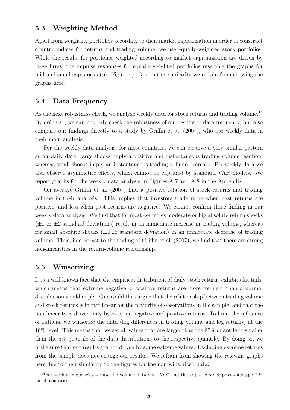#### 5.3 Weighting Method

Apart from weighting portfolios according to their market capitalization in order to construct country indices for returns and trading volume, we use equally-weighted stock portfolios. While the results for portfolios weighted according to market capitalization are driven by large firms, the impulse responses for equally-weighted portfolios resemble the graphs for mid and small cap stocks (see Figure 4). Due to this similarity we refrain from showing the graphs here.

#### 5.4 Data Frequency

As the next robustness check, we analyze weekly data for stock returns and trading volume.<sup>14</sup> By doing so, we can not only check the robustness of our results to data frequency, but also compare our findings directly to a study by Griffin et al. (2007), who use weekly data in their main analysis.

For the weekly data analysis, for most countries, we can observe a very similar pattern as for daily data: large shocks imply a positive and instantaneous trading volume reaction, whereas small shocks imply an instantaneous trading volume decrease. For weekly data we also observe asymmetric effects, which cannot be captured by standard VAR models. We report graphs for the weekly data analysis in Figures A.7 and A.8 in the Appendix.

On average Griffin et al. (2007) find a positive relation of stock returns and trading volume in their analysis. This implies that investors trade more when past returns are positive, and less when past returns are negative. We cannot confirm these finding in our weekly data analysis. We find that for most countries moderate or big absolute return shocks  $(\pm 1 \text{ or } \pm 2 \text{ standard deviations})$  result in an immediate increase in trading volume, whereas for small absolute shocks  $(\pm 0.25$  standard deviation) in an immediate decrease of trading volume. Thus, in contrast to the finding of Griffin et al. (2007), we find that there are strong non-linearities in the return-volume relationship.

#### 5.5 Winsorizing

It is a well known fact that the empirical distribution of daily stock returns exhibits fat tails, which means that extreme negative or positive returns are more frequent than a normal distribution would imply. One could thus argue that the relationship between trading volume and stock returns is in fact linear for the majority of observations in the sample, and that the non-linearity is driven only by extreme negative and positive returns. To limit the influence of outliers, we winsorize the data (log differences in trading volume and log returns) at the 10% level. This means that we set all values that are larger than the 95% quantile or smaller than the 5% quantile of the data distributions to the respective quantile. By doing so, we make sure that our results are not driven by some extreme values. Excluding extreme returns from the sample does not change our results. We refrain from showing the relevant graphs here due to their similarity to the figures for the non-winsorized data.

<sup>&</sup>lt;sup>14</sup>For weekly frequencies we use the volume datatype "VO" and the adjusted stock price datatype "P" for all countries.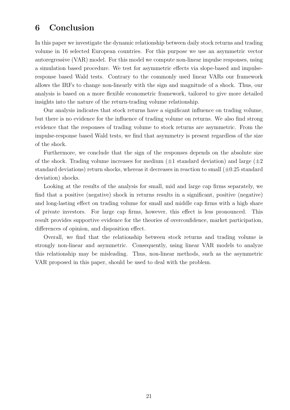## 6 Conclusion

In this paper we investigate the dynamic relationship between daily stock returns and trading volume in 16 selected European countries. For this purpose we use an asymmetric vector autoregressive (VAR) model. For this model we compute non-linear impulse responses, using a simulation based procedure. We test for asymmetric effects via slope-based and impulseresponse based Wald tests. Contrary to the commonly used linear VARs our framework allows the IRFs to change non-linearly with the sign and magnitude of a shock. Thus, our analysis is based on a more flexible econometric framework, tailored to give more detailed insights into the nature of the return-trading volume relationship.

Our analysis indicates that stock returns have a significant influence on trading volume, but there is no evidence for the influence of trading volume on returns. We also find strong evidence that the responses of trading volume to stock returns are asymmetric. From the impulse-response based Wald tests, we find that asymmetry is present regardless of the size of the shock.

Furthermore, we conclude that the sign of the responses depends on the absolute size of the shock. Trading volume increases for medium  $(\pm 1)$  standard deviation) and large  $(\pm 2)$ standard deviations) return shocks, whereas it decreases in reaction to small  $(\pm 0.25 \text{ standard})$ deviation) shocks.

Looking at the results of the analysis for small, mid and large cap firms separately, we find that a positive (negative) shock in returns results in a significant, positive (negative) and long-lasting effect on trading volume for small and middle cap firms with a high share of private investors. For large cap firms, however, this effect is less pronounced. This result provides supportive evidence for the theories of overconfidence, market participation, differences of opinion, and disposition effect.

Overall, we find that the relationship between stock returns and trading volume is strongly non-linear and asymmetric. Consequently, using linear VAR models to analyze this relationship may be misleading. Thus, non-linear methods, such as the asymmetric VAR proposed in this paper, should be used to deal with the problem.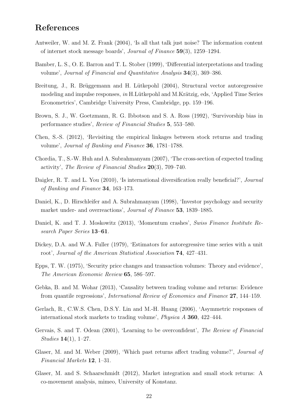## References

- Antweiler, W. and M. Z. Frank (2004), 'Is all that talk just noise? The information content of internet stock message boards', Journal of Finance 59(3), 1259–1294.
- Bamber, L. S., O. E. Barron and T. L. Stober (1999), 'Differential interpretations and trading volume', Journal of Financial and Quantitative Analysis 34(3), 369–386.
- Breitung, J., R. Brüggemann and H. Lütkepohl (2004), Structural vector autoregressive modeling and impulse responses, in H.Lütkepohl and M.Krätzig, eds, 'Applied Time Series Econometrics', Cambridge University Press, Cambridge, pp. 159–196.
- Brown, S. J., W. Goetzmann, R. G. Ibbotson and S. A. Ross (1992), 'Survivorship bias in performance studies', Review of Financial Studies 5, 553–580.
- Chen, S.-S. (2012), 'Revisiting the empirical linkages between stock returns and trading volume', Journal of Banking and Finance 36, 1781–1788.
- Chordia, T., S.-W. Huh and A. Subrahmanyam (2007), 'The cross-section of expected trading activity', The Review of Financial Studies 20(3), 709–740.
- Daigler, R. T. and L. You (2010), 'Is international diversification really beneficial?', *Journal* of Banking and Finance 34, 163–173.
- Daniel, K., D. Hirschleifer and A. Subrahmanyam (1998), 'Investor psychology and security market under- and overreactions', Journal of Finance 53, 1839–1885.
- Daniel, K. and T. J. Moskowitz (2013), 'Momentum crashes', Swiss Finance Institute Research Paper Series 13–61.
- Dickey, D.A. and W.A. Fuller (1979), 'Estimators for autoregressive time series with a unit root', Journal of the American Statistical Association 74, 427–431.
- Epps, T. W. (1975), 'Security price changes and transaction volumes: Theory and evidence', The American Economic Review 65, 586–597.
- Gebka, B. and M. Wohar (2013), 'Causality between trading volume and returns: Evidence from quantile regressions', International Review of Economics and Finance 27, 144–159.
- Gerlach, R., C.W.S. Chen, D.S.Y. Lin and M.-H. Huang (2006), 'Asymmetric responses of international stock markets to trading volume', Physica A 360, 422–444.
- Gervais, S. and T. Odean (2001), 'Learning to be overconfident', The Review of Financial Studies 14(1), 1–27.
- Glaser, M. and M. Weber (2009), 'Which past returns affect trading volume?', Journal of Financial Markets 12, 1–31.
- Glaser, M. and S. Schaarschmidt (2012), Market integration and small stock returns: A co-movement analysis, mimeo, University of Konstanz.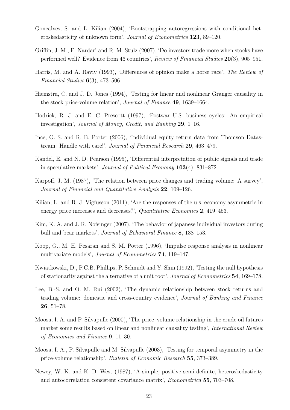- Goncalves, S. and L. Kilian (2004), 'Bootstrapping autoregressions with conditional heteroskedasticity of unknown form', Journal of Econometrics 123, 89–120.
- Griffin, J. M., F. Nardari and R. M. Stulz (2007), 'Do investors trade more when stocks have performed well? Evidence from 46 countries', Review of Financial Studies 20(3), 905–951.
- Harris, M. and A. Raviv (1993), 'Differences of opinion make a horse race', The Review of Financial Studies  $6(3)$ , 473–506.
- Hiemstra, C. and J. D. Jones (1994), 'Testing for linear and nonlinear Granger causality in the stock price-volume relation', Journal of Finance 49, 1639–1664.
- Hodrick, R. J. and E. C. Prescott (1997), 'Postwar U.S. business cycles: An empirical investigation', Journal of Money, Credit, and Banking 29, 1–16.
- Ince, O. S. and R. B. Porter (2006), 'Individual equity return data from Thomson Datastream: Handle with care!', Journal of Financial Research 29, 463–479.
- Kandel, E. and N. D. Pearson (1995), 'Differential interpretation of public signals and trade in speculative markets', Journal of Political Economy 103(4), 831–872.
- Karpoff, J. M. (1987), 'The relation between price changes and trading volume: A survey', Journal of Financial and Quantitative Analysis 22, 109–126.
- Kilian, L. and R. J. Vigfusson (2011), 'Are the responses of the u.s. economy asymmetric in energy price increases and decreases?', Quantitative Economics 2, 419–453.
- Kim, K. A. and J. R. Nofsinger (2007), 'The behavior of japanese individual investors during bull and bear markets', Journal of Behavioral Finance 8, 138–153.
- Koop, G., M. H. Pesaran and S. M. Potter (1996), 'Impulse response analysis in nonlinear multivariate models', Journal of Econometrics 74, 119–147.
- Kwiatkowski, D., P.C.B. Phillips, P. Schmidt and Y. Shin (1992), 'Testing the null hypothesis of stationarity against the alternative of a unit root', Journal of Econometrics 54, 169–178.
- Lee, B.-S. and O. M. Rui (2002), 'The dynamic relationship between stock returns and trading volume: domestic and cross-country evidence', Journal of Banking and Finance 26, 51–78.
- Moosa, I. A. and P. Silvapulle (2000), 'The price–volume relationship in the crude oil futures market some results based on linear and nonlinear causality testing', International Review of Economics and Finance 9, 11–30.
- Moosa, I. A., P. Silvapulle and M. Silvapulle (2003), 'Testing for temporal asymmetry in the price-volume relationship', Bulletin of Economic Research 55, 373–389.
- Newey, W. K. and K. D. West (1987), 'A simple, positive semi-definite, heteroskedasticity and autocorrelation consistent covariance matrix', Econometrica 55, 703–708.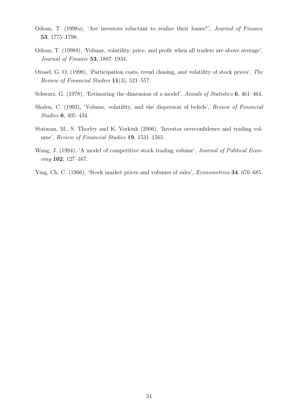- Odean, T. (1998a), 'Are investors reluctant to realize their losses?', Journal of Finance 53, 1775–1798.
- Odean, T. (1998b), 'Volume, volatility, price, and profit when all traders are above average', Journal of Finance 53, 1887–1934.
- Orosel, G. O. (1998), 'Participation costs, trend chasing, and volatility of stock prices', The Review of Financial Studies 11(3), 521–557.
- Schwarz, G. (1978), 'Estimating the dimension of a model', Annals of Statistics 6, 461–464.
- Shalen, C. (1993), 'Volume, volatility, and the dispersion of beliefs', Review of Financial Studies 6, 405–434.
- Statman, M., S. Thorley and K. Vorkink (2006), 'Investor overconfidence and trading volume', Review of Financial Studies 19, 1531–1565.
- Wang, J. (1994), 'A model of competitive stock trading volume', *Journal of Political Econ*omy 102, 127–167.
- Ying, Ch. C. (1966), 'Stock market prices and volumes of sales', Econometrica 34, 676–685.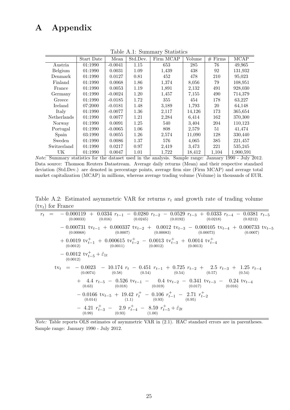## A Appendix

| rapic <i>II.I.</i> Dammary Deachouch |            |           |          |           |        |            |           |
|--------------------------------------|------------|-----------|----------|-----------|--------|------------|-----------|
|                                      | Start Date | Mean      | Std.Dev. | Firm MCAP | Volume | Firms<br># | MCAP      |
| Austria                              | 01:1990    | $-0.0041$ | 1.15     | 653       | 285    | 76         | 49,965    |
| Belgium                              | 01:1990    | 0.0031    | 1.09     | 1,439     | 438    | 92         | 131,932   |
| Denmark                              | 01:1990    | 0.0127    | 0.81     | 452       | 478    | 210        | 95,023    |
| Finland                              | 01:1990    | 0.0068    | 1.86     | 1,374     | 8,056  | 79         | 108,951   |
| France                               | 01:1990    | 0.0053    | 1.19     | 1,891     | 2,132  | 491        | 928,030   |
| Germany                              | 01:1990    | $-0.0024$ | 1.20     | 1,457     | 7,155  | 490        | 714,379   |
| Greece                               | 01:1990    | $-0.0185$ | 1.72     | 355       | 454    | 178        | 63,227    |
| Ireland                              | 07:2000    | $-0.0181$ | 1.48     | 3,189     | 1,793  | 20         | 64,148    |
| Italy                                | 01:1990    | $-0.0077$ | 1.36     | 2,117     | 14,126 | 173        | 365,654   |
| Netherlands                          | 01:1990    | 0.0077    | 1.21     | 2,284     | 6,414  | 162        | 370,300   |
| Norway                               | 01:1990    | 0.0091    | 1.25     | 540       | 3,404  | 204        | 110,123   |
| Portugal                             | 01:1990    | $-0.0065$ | 1.06     | 808       | 2,579  | 51         | 41,474    |
| Spain                                | 03:1990    | 0.0055    | 1.26     | 2,574     | 11,090 | 128        | 330,440   |
| Sweden                               | 01:1990    | 0.0086    | 1.37     | 576       | 4,065  | 385        | 221,457   |
| Switzerland                          | 01:1990    | 0.0217    | 0.97     | 2,419     | 3,473  | 221        | 535,245   |
| UK                                   | 01:1990    | 0.0047    | 1.01     | 1,722     | 18,412 | 1,104      | 1,900,591 |

Table A.1: Summary Statistics

Note: Summary statistics for the dataset used in the analysis. Sample range: January 1990 - July 2012. Data source: Thomson Reuters Datastream. Average daily returns (Mean) and their respective standard deviation (Std.Dev.) are denoted in percentage points, average firm size (Firm MCAP) and average total market capitalization (MCAP) in millions, whereas average trading volume (Volume) in thousands of EUR.

Table A.2: Estimated asymmetric VAR for returns  $r_t$  and growth rate of trading volume  $(tv_t)$  for France

| $r_t = -0.000119 + 0.0334 r_{t-1} - 0.0280 r_{t-2} - 0.0529 r_{t-3} + 0.0333 r_{t-4} - 0.0381 r_{t-5}$<br>$(0.016)$ $(0.0245)$ $(0.0192)$ $(0.0218)$<br>(0.00033)<br>(0.0212)                                    |
|------------------------------------------------------------------------------------------------------------------------------------------------------------------------------------------------------------------|
| $-0.000731 \text{ tv}_{t-1} + 0.000337 \text{ tv}_{t-2} + 0.0012 \text{ tv}_{t-3} - 0.000105 \text{ tv}_{t-4} + 0.000733 \text{ tv}_{t-5}$<br>$(0.0007)$ $(0.00083)$<br>(0.00073)<br>(0.00068)<br>(0.0007)       |
| + 0.0019 tv <sup>+</sup> <sub>t-1</sub> + 0.000615 tv <sup>+</sup> <sub>t-2</sub> - 0.0013 tv <sup>+</sup> <sub>t-3</sub> + 0.0014 tv <sup>+</sup> <sub>t-4</sub><br>$(0.0012)$ $(0.0011)$ $(0.0012)$ $(0.0013)$ |
| $-0.0012 \text{ tv}_{t-5}^+ + \hat{\varepsilon}_{1t}$<br>(0.0012)                                                                                                                                                |
| $\text{t}_{t} = -0.0023 - 10.174 r_t - 0.451 r_{t-1} + 0.725 r_{t-2} + 2.5 r_{t-3} + 1.25 r_{t-4}$<br>$(0.0074)$ $(0.58)$ $(0.54)$ $(0.54)$ $(0.57)$ $(0.54)$                                                    |
| $+$ 4.4 $r_{t-5}$ - 0.526 tv <sub>t-1</sub> - 0.4 tv <sub>t-2</sub> - 0.341 tv <sub>t-3</sub> - 0.24 tv <sub>t-4</sub><br>$(0.63)$ $(0.018)$ $(0.019)$<br>(0.017)<br>(0.016)                                     |
| $-0.0166 \text{ tv}_{t-5} + 19.42 \text{ r}_t^+ - 0.106 \text{ r}_{t-1}^+ - 2.71 \text{ r}_{t-2}^+$<br>$(1.1)$ $(0.93)$ $(0.95)$<br>(0.014)                                                                      |
| - 4.21 $r_{t-3}^+$ - 2.9 $r_{t-4}^+$ - 8.59 $r_{t-5}^+$ + $\hat{\varepsilon}_{2t}$<br>(0.99) $(0.99)$                                                                                                            |

Note: Table reports OLS estimates of asymmetric VAR in (2.1). HAC standard errors are in parentheses. Sample range: January 1990 - July 2012.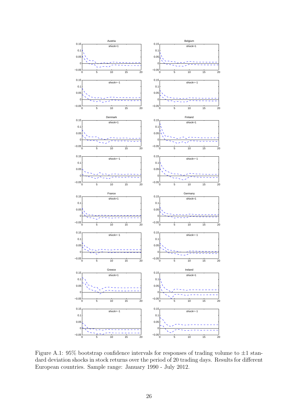

Figure A.1:  $95\%$  bootstrap confidence intervals for responses of trading volume to  $\pm 1$  standard deviation shocks in stock returns over the period of 20 trading days. Results for different European countries. Sample range: January 1990 - July 2012.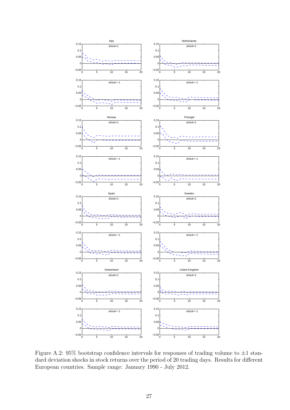

Figure A.2:  $95\%$  bootstrap confidence intervals for responses of trading volume to  $\pm 1$  standard deviation shocks in stock returns over the period of 20 trading days. Results for different European countries. Sample range: January 1990 - July 2012.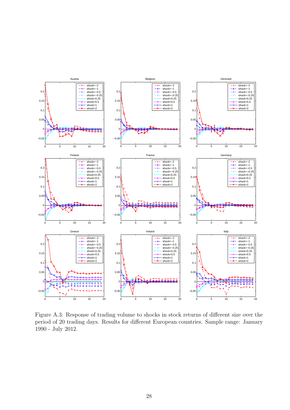

Figure A.3: Response of trading volume to shocks in stock returns of different size over the period of 20 trading days. Results for different European countries. Sample range: January 1990 - July 2012.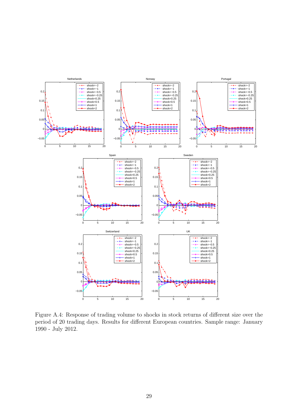

Figure A.4: Response of trading volume to shocks in stock returns of different size over the period of 20 trading days. Results for different European countries. Sample range: January 1990 - July 2012.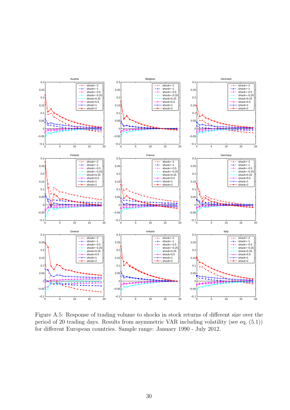

Figure A.5: Response of trading volume to shocks in stock returns of different size over the period of 20 trading days. Results from asymmetric VAR including volatility (see eq. (5.1)) for different European countries. Sample range: January 1990 - July 2012.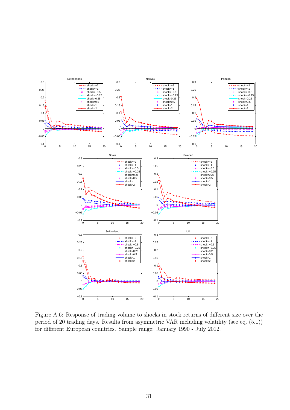

Figure A.6: Response of trading volume to shocks in stock returns of different size over the period of 20 trading days. Results from asymmetric VAR including volatility (see eq. (5.1)) for different European countries. Sample range: January 1990 - July 2012.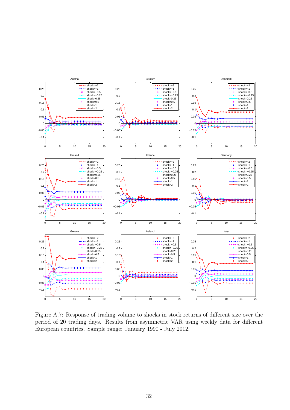

Figure A.7: Response of trading volume to shocks in stock returns of different size over the period of 20 trading days. Results from asymmetric VAR using weekly data for different European countries. Sample range: January 1990 - July 2012.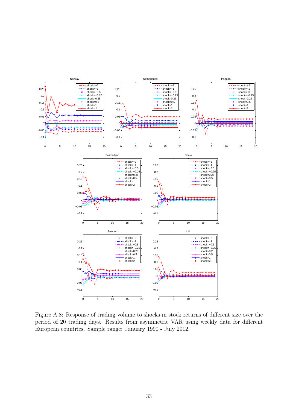

Figure A.8: Response of trading volume to shocks in stock returns of different size over the period of 20 trading days. Results from asymmetric VAR using weekly data for different European countries. Sample range: January 1990 - July 2012.